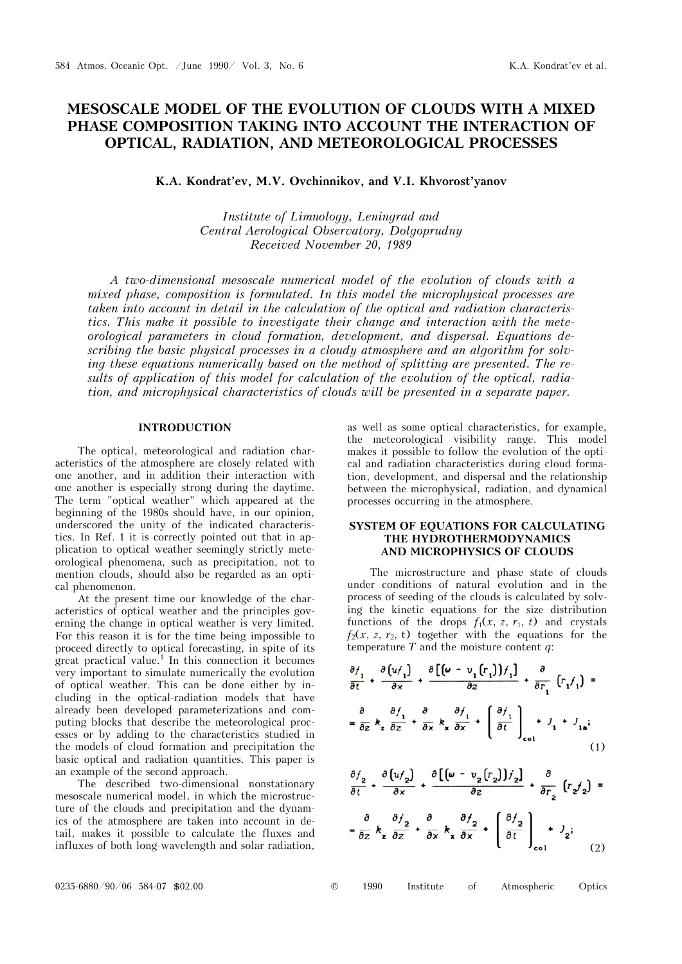# **MESOSCALE MODEL OF THE EVOLUTION OF CLOUDS WITH A MIXED PHASE COMPOSITION TAKING INTO ACCOUNT THE INTERACTION OF OPTICAL, RADIATION, AND METEOROLOGICAL PROCESSES**

K.A. Kondrat'ev, M.V. Ovchinnikov, and V.I. Khvorost'yanov

*Institute of Limnology, Leningrad and Central Aerological Observatory, Dolgoprudny Received November 20, 1989* 

*A two-dimensional mesoscale numerical model of the evolution of clouds with a mixed phase, composition is formulated. In this model the microphysical processes are taken into account in detail in the calculation of the optical and radiation characteristics. This make it possible to investigate their change and interaction with the meteorological parameters in cloud formation, development, and dispersal. Equations describing the basic physical processes in a cloudy atmosphere and an algorithm for solving these equations numerically based on the method of splitting are presented. The results of application of this model for calculation of the evolution of the optical, radiation, and microphysical characteristics of clouds will be presented in a separate paper.* 

#### **INTRODUCTION**

The optical, meteorological and radiation characteristics of the atmosphere are closely related with one another, and in addition their interaction with one another is especially strong during the daytime. The term "optical weather" which appeared at the beginning of the 1980s should have, in our opinion, underscored the unity of the indicated characteristics. In Ref. 1 it is correctly pointed out that in application to optical weather seemingly strictly meteorological phenomena, such as precipitation, not to mention clouds, should also be regarded as an optical phenomenon.

At the present time our knowledge of the characteristics of optical weather and the principles governing the change in optical weather is very limited. For this reason it is for the time being impossible to proceed directly to optical forecasting, in spite of its great practical value.<sup>1</sup> In this connection it becomes very important to simulate numerically the evolution of optical weather. This can be done either by including in the optical-radiation models that have already been developed parameterizations and computing blocks that describe the meteorological processes or by adding to the characteristics studied in the models of cloud formation and precipitation the basic optical and radiation quantities. This paper is an example of the second approach.

The described two-dimensional nonstationary mesoscale numerical model, in which the microstructure of the clouds and precipitation and the dynamics of the atmosphere are taken into account in detail, makes it possible to calculate the fluxes and influxes of both long-wavelength and solar radiation,

as well as some optical characteristics, for example, the meteorological visibility range. This model makes it possible to follow the evolution of the optical and radiation characteristics during cloud formation, development, and dispersal and the relationship between the microphysical, radiation, and dynamical processes occurring in the atmosphere.

## **SYSTEM OF EQUATIONS FOR CALCULATING THE HYDROTHERMODYNAMICS AND MICROPHYSICS OF CLOUDS**

The microstructure and phase state of clouds under conditions of natural evolution and in the process of seeding of the clouds is calculated by solving the kinetic equations for the size distribution functions of the drops  $f_1(x, z, r_1, t)$  and crystals  $f_2(x, z, r_2, t)$  together with the equations for the temperature *T* and the moisture content *q*:

$$
\frac{\partial f_1}{\partial t} + \frac{\partial (uf_1)}{\partial x} + \frac{\partial [(w - v_1(r_1))]f_1]}{\partial z} + \frac{\partial}{\partial r_1} (r_1f_1) =
$$
\n
$$
= \frac{\partial}{\partial z} k_z \frac{\partial f_1}{\partial z} + \frac{\partial}{\partial x} k_x \frac{\partial f_1}{\partial x} + \left(\frac{\partial f_1}{\partial t}\right)_{\text{col}} + J_1 + J_{1a};
$$
\n(1)

$$
\frac{\partial f_2}{\partial t} + \frac{\partial [u_f_2]}{\partial x} + \frac{\partial [(\omega - v_2(r_2)]f_2]}{\partial z} + \frac{\partial}{\partial r_2} (r_2 f_2) =
$$

$$
= \frac{\partial}{\partial z} k_z \frac{\partial f_2}{\partial z} + \frac{\partial}{\partial x} k_x \frac{\partial f_2}{\partial x} + \left(\frac{\partial f_2}{\partial t}\right)_{\text{col}} + J_2;
$$
(2)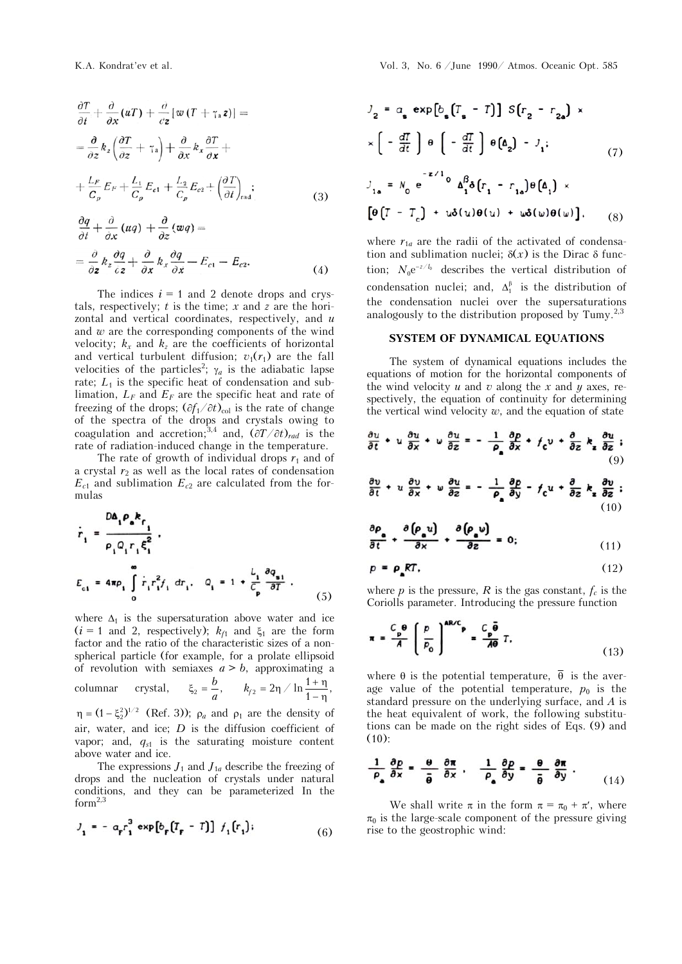$$
\frac{\partial T}{\partial t} + \frac{\partial}{\partial x} (uT) + \frac{\partial}{\partial z} [w (T + \gamma_a z)] =
$$
\n
$$
= \frac{\partial}{\partial z} k_z \left( \frac{\partial T}{\partial z} + \gamma_a \right) + \frac{\partial}{\partial x} k_x \frac{\partial T}{\partial x} +
$$
\n
$$
+ \frac{L_F}{C_p} E_F + \frac{L_1}{C_p} E_{c1} + \frac{L_2}{C_p} E_{c2} + \left( \frac{\partial T}{\partial t} \right)_{rad};
$$
\n
$$
\frac{\partial q}{\partial t} + \frac{\partial}{\partial x} (uq) + \frac{\partial}{\partial z} (wq) =
$$
\n
$$
= \frac{\partial}{\partial z} k_z \frac{\partial q}{\partial z} + \frac{\partial}{\partial x} k_x \frac{\partial q}{\partial x} - E_{c1} - E_{c2}.
$$
\n(4)

The indices  $i = 1$  and 2 denote drops and crystals, respectively;  $t$  is the time;  $x$  and  $z$  are the horizontal and vertical coordinates, respectively, and *u* and *w* are the corresponding components of the wind velocity;  $k_x$  and  $k_z$  are the coefficients of horizontal and vertical turbulent diffusion;  $v_1(r_1)$  are the fall velocities of the particles<sup>2</sup>;  $\gamma_a$  is the adiabatic lapse rate;  $L_1$  is the specific heat of condensation and sublimation,  $L_F$  and  $E_F$  are the specific heat and rate of freezing of the drops;  $(\partial f_1/\partial t)_{\text{col}}$  is the rate of change of the spectra of the drops and crystals owing to coagulation and accretion;<sup>3,4</sup> and,  $(\partial T/\partial t)_{rad}$  is the rate of radiation-induced change in the temperature.

The rate of growth of individual drops  $r_1$  and of a crystal  $r_2$  as well as the local rates of condensation  $E_{c1}$  and sublimation  $E_{c2}$  are calculated from the formulas

$$
\dot{r}_{1} = \frac{D\Delta_{1} \rho_{a} k_{f}}{\rho_{1} Q_{1} r_{1} \xi_{1}^{2}} ,
$$
\n
$$
E_{c1} = 4\pi \rho_{1} \int_{0}^{\infty} \dot{r}_{1} r_{1}^{2} f_{1} dr_{1} , \quad Q_{1} = 1 + \frac{L_{1}}{C_{p}} \frac{\partial q_{a1}}{\partial T} ,
$$
\n(5)

where  $\Delta_1$  is the supersaturation above water and ice  $(i = 1 \text{ and } 2, \text{ respectively}; k_f1 \text{ and } \xi_1 \text{ are the form}$ factor and the ratio of the characteristic sizes of a nonspherical particle (for example, for a prolate ellipsoid of revolution with semiaxes  $a > b$ , approximating a columnar crystal,  $\xi_2 = \frac{b}{a}$ ,  $k_{f2} = 2\eta / \ln \frac{1+\eta}{1-\eta}$ ,  $\eta = (1 - \xi_2^2)^{1/2}$  (Ref. 3));  $\rho_a$  and  $\rho_1$  are the density of air, water, and ice; *D* is the diffusion coefficient of vapor; and,  $q_{s1}$  is the saturating moisture content

above water and ice. The expressions  $J_1$  and  $J_{1a}$  describe the freezing of drops and the nucleation of crystals under natural conditions, and they can be parameterized In the  $form<sup>2,3</sup>$ 

$$
J_1 = -a_r r_1^3 \exp[b_r (T_r - T)] f_1(r_1); \qquad (6)
$$

$$
J_2 = a_s \exp[b_s (T_s - T)] S(r_2 - r_{2s}) \times
$$
  
\n
$$
\times \left[ -\frac{dT}{dt} \right] \theta \left[ -\frac{dT}{dt} \right] \theta \left( \Delta_2 \right) - J_1;
$$
  
\n
$$
J_{1s} = N_0 e^{-2/L_0} \Delta_1^{\beta} \delta[r_1 - r_{1s}] \theta \left( \Delta_1 \right) \times
$$
  
\n
$$
\left[ \theta \left( T - T_c \right) + u \delta(u) \theta(u) + u \delta(u) \theta(u) \right], \quad (8)
$$

where  $r_{1a}$  are the radii of the activated of condensation and sublimation nuclei;  $\delta(x)$  is the Dirac  $\delta$  function;  $N_0 e^{-z/l_0}$  describes the vertical distribution of condensation nuclei; and,  $\Delta_1^{\beta}$  is the distribution of the condensation nuclei over the supersaturations analogously to the distribution proposed by Tumy. $^{2,3}$ 

### **SYSTEM OF DYNAMICAL EQUATIONS**

The system of dynamical equations includes the equations of motion for the horizontal components of the wind velocity  $u$  and  $v$  along the  $x$  and  $y$  axes, respectively, the equation of continuity for determining the vertical wind velocity  $w$ , and the equation of state

$$
\frac{\partial u}{\partial t} + u \frac{\partial u}{\partial x} + w \frac{\partial u}{\partial z} = -\frac{1}{\rho_a} \frac{\partial p}{\partial x} + f_c v + \frac{\partial}{\partial z} k_z \frac{\partial u}{\partial z};
$$
\n(9)

$$
\frac{\partial v}{\partial t} + u \frac{\partial v}{\partial x} + w \frac{\partial u}{\partial z} = -\frac{1}{\rho_a} \frac{\partial \rho}{\partial y} - f_c u + \frac{\partial}{\partial z} k_z \frac{\partial v}{\partial z} ;
$$
\n(10)

$$
\frac{\partial \rho_a}{\partial t} + \frac{\partial (\rho_a u)}{\partial x} + \frac{\partial (\rho_a u)}{\partial z} = 0; \tag{11}
$$

$$
p = \rho_{\rm a} RT, \tag{12}
$$

where  $p$  is the pressure,  $R$  is the gas constant,  $f_c$  is the Coriolls parameter. Introducing the pressure function

$$
\pi = \frac{C_p \Theta}{A} \left( \frac{p}{p_o} \right)^{ABC} = \frac{C_p \overline{\Theta}}{A\Theta} T.
$$
 (13)

where  $\theta$  is the potential temperature,  $\overline{\theta}$  is the average value of the potential temperature,  $p_0$  is the standard pressure on the underlying surface, and *A* is the heat equivalent of work, the following substitutions can be made on the right sides of Eqs. (9) and  $(10):$ 

$$
\frac{1}{\rho_{a}}\frac{\partial p}{\partial x}=\frac{\theta}{\bar{\theta}}\frac{\partial \pi}{\partial x},\quad \frac{1}{\rho_{a}}\frac{\partial p}{\partial y}=\frac{\theta}{\bar{\theta}}\frac{\partial \pi}{\partial y}.
$$
 (14)

We shall write  $\pi$  in the form  $\pi = \pi_0 + \pi'$ , where  $\pi_0$  is the large-scale component of the pressure giving rise to the geostrophic wind: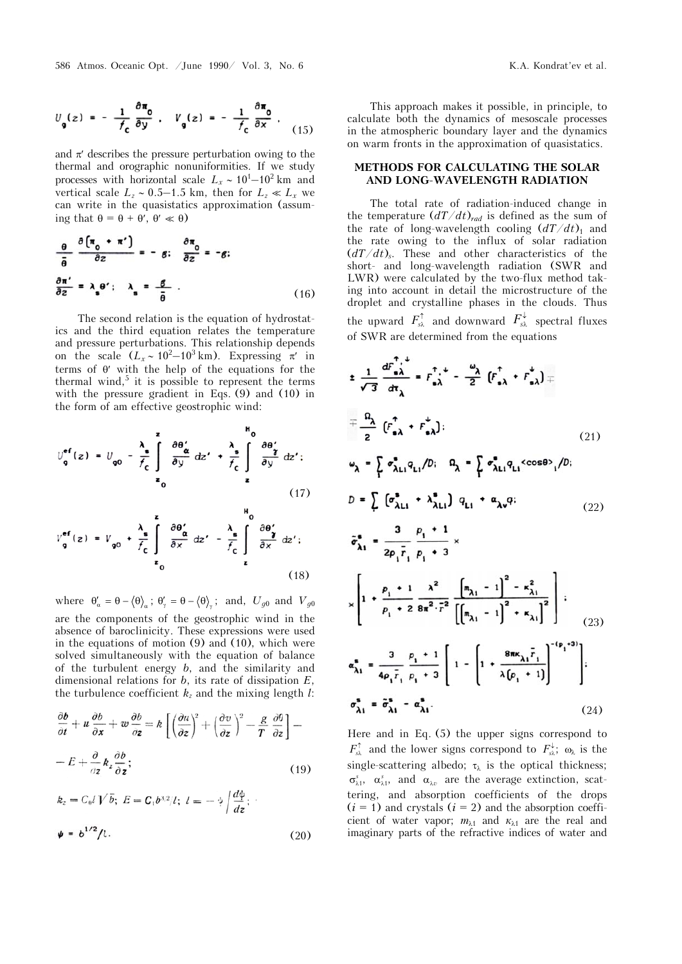586 Atmos. Oceanic Opt. /June 1990/ Vol. 3, No. 6 K.A. Kondrat'ev et al.

$$
U_{\mathbf{g}}(z) = -\frac{1}{f_{\mathbf{c}}} \frac{\partial \pi_{\mathbf{g}}}{\partial y} , \quad V_{\mathbf{g}}(z) = -\frac{1}{f_{\mathbf{c}}} \frac{\partial \pi_{\mathbf{g}}}{\partial x} , \quad (15)
$$

and  $\pi$  describes the pressure perturbation owing to the thermal and orographic nonuniformities. If we study processes with horizontal scale  $L_x \sim 10^1 - 10^2$  km and vertical scale  $L_z \sim 0.5-1.5$  km, then for  $L_z \ll L_x$  we can write in the quasistatics approximation (assuming that  $\theta = \theta + \theta'$ ,  $\theta' \ll \theta$ )

$$
\frac{\theta}{\bar{\theta}} \frac{\partial (\pi_0 + \pi')}{\partial z} = -g; \quad \frac{\partial \pi_0}{\partial z} = -g;
$$
\n
$$
\frac{\partial \pi'}{\partial z} = \lambda_g \theta'; \quad \lambda_g = \frac{g}{\bar{\theta}}.
$$
\n(16)

The second relation is the equation of hydrostatics and the third equation relates the temperature and pressure perturbations. This relationship depends on the scale  $(L_x \sim 10^2 - 10^3 \text{ km})$ . Expressing  $\pi'$  in terms of  $\theta'$  with the help of the equations for the thermal wind,<sup>5</sup> it is possible to represent the terms with the pressure gradient in Eqs. (9) and (10) in the form of am effective geostrophic wind:

$$
U_{q}^{eff}(z) = U_{q0} - \frac{\lambda_{s}}{f_{c}} \int_{z_{0}}^{z} \frac{\partial \theta'_{\alpha}}{\partial y} dz' + \frac{\lambda_{s}}{f_{c}} \int_{z}^{\theta_{0}} \frac{\partial \theta'_{\gamma}}{\partial y} dz';
$$
\n
$$
V_{q}^{eff}(z) = V_{q0} + \frac{\lambda_{s}}{f_{c}} \int_{z_{0}}^{z} \frac{\partial \theta'_{\alpha}}{\partial x} dz' - \frac{\lambda_{s}}{f_{c}} \int_{z}^{\theta_{0}} \frac{\partial \theta'_{\gamma}}{\partial x} dz';
$$
\n(17)

where  $\theta'_\alpha = \theta - \langle \theta \rangle_\alpha$ ;  $\theta'_\gamma = \theta - \langle \theta \rangle_\gamma$ ; and,  $U_{g0}$  and  $V_{g0}$ are the components of the geostrophic wind in the absence of baroclinicity. These expressions were used in the equations of motion (9) and (10), which were solved simultaneously with the equation of balance of the turbulent energy *b*, and the similarity and dimensional relations for *b*, its rate of dissipation *E*, the turbulence coefficient  $k_z$  and the mixing length  $l$ :

$$
\frac{\partial b}{\partial t} + u \frac{\partial b}{\partial x} + w \frac{\partial b}{\partial z} = k \left[ \left( \frac{\partial u}{\partial z} \right)^2 + \left( \frac{\partial v}{\partial z} \right)^2 - \frac{g}{T} \frac{\partial \theta}{\partial z} \right] -
$$

$$
- E + \frac{\partial}{\partial z} k_z \frac{\partial b}{\partial z};
$$
(19)

$$
k_z = C_0 l V \overline{b}; \ E = C_1 b^{3/2} / l; \ l = -\frac{1}{\gamma} \left| \frac{d\phi}{dz} \right|;
$$
  

$$
\psi = b^{1/2} / l.
$$
 (20)

This approach makes it possible, in principle, to calculate both the dynamics of mesoscale processes in the atmospheric boundary layer and the dynamics on warm fronts in the approximation of quasistatics.

### **METHODS FOR CALCULATING THE SOLAR AND LONG-WAVELENGTH RADIATION**

The total rate of radiation-induced change in the temperature  $\left(\frac{dT}{dt}\right)_{rad}$  is defined as the sum of the rate of long-wavelength cooling  $\left(\frac{dT}{dt}\right)_1$  and the rate owing to the influx of solar radiation  $(dT/dt)$ <sub>s</sub>. These and other characteristics of the short- and long-wavelength radiation (SWR and LWR) were calculated by the two-flux method taking into account in detail the microstructure of the droplet and crystalline phases in the clouds. Thus the upward  $F_{s\lambda}^{\uparrow}$  and downward  $F_{s\lambda}^{\downarrow}$  spectral fluxes of SWR are determined from the equations

$$
\pm \frac{1}{\sqrt{3}} \frac{dF_{a\lambda}^{+}}{dt_{\lambda}} = F_{a\lambda}^{+} + \frac{\omega_{\lambda}}{2} \left( F_{a\lambda}^{+} + F_{a\lambda}^{+} \right) =
$$
\n
$$
= \frac{\Omega_{\lambda}}{2} \left( F_{a\lambda}^{+} + F_{a\lambda}^{+} \right); \qquad (21)
$$
\n
$$
\omega_{\lambda} = \int_{1}^{\infty} \sigma_{\lambda L1}^{*} q_{L1}/D; \quad \Omega_{\lambda} = \int_{1}^{\infty} \sigma_{\lambda L1}^{*} q_{L1} \cos \theta_{1}/D; \qquad D = \int_{1}^{\infty} \left( \sigma_{\lambda L1}^{*} + \lambda_{\lambda L1}^{*} \right) q_{L1} + \alpha_{\lambda \nu} q; \qquad (22)
$$
\n
$$
\tilde{\sigma}_{\lambda 1}^{*} = \frac{3}{2\rho_{1} F_{1}} \frac{\rho_{1} + 1}{\rho_{1} + 3} \times
$$
\n
$$
\times \left[ 1 + \frac{\rho_{1} + 1}{\rho_{1} + 2} \frac{\lambda^{2}}{8\pi^{2} \cdot F^{2}} \left[ \frac{m_{\lambda 1} - 1}{m_{\lambda 1} - 1} \right]^{2} + \kappa_{\lambda 1} \right]^{2} \right]; \qquad (23)
$$
\n
$$
\alpha_{\lambda 1}^{*} = \frac{3}{4\rho_{1} F_{1}} \frac{\rho_{1} + 1}{\rho_{1} + 3} \left[ 1 - \left[ 1 + \frac{8\pi \kappa_{\lambda 1} F_{1}}{\lambda (\rho_{1} + 1)} \right]^{-(\rho_{1} + 3)} \right];
$$
\n
$$
\sigma_{\lambda 1}^{*} = \tilde{\sigma}_{\lambda 1}^{*} - \alpha_{\lambda 1}^{*}. \qquad (24)
$$

Here and in Eq. (5) the upper signs correspond to  $F_{s\lambda}^{\uparrow}$  and the lower signs correspond to  $F_{s\lambda}^{\downarrow}$ ;  $\omega_{\lambda}$  is the single-scattering albedo;  $\tau_{\lambda}$  is the optical thickness;  $\sigma_{\lambda 1}^{s}$ ,  $\alpha_{\lambda 1}^{s}$ , and  $\alpha_{\lambda v}$  are the average extinction, scattering, and absorption coefficients of the drops  $(i = 1)$  and crystals  $(i = 2)$  and the absorption coefficient of water vapor;  $m_{\lambda1}$  and  $\kappa_{\lambda1}$  are the real and imaginary parts of the refractive indices of water and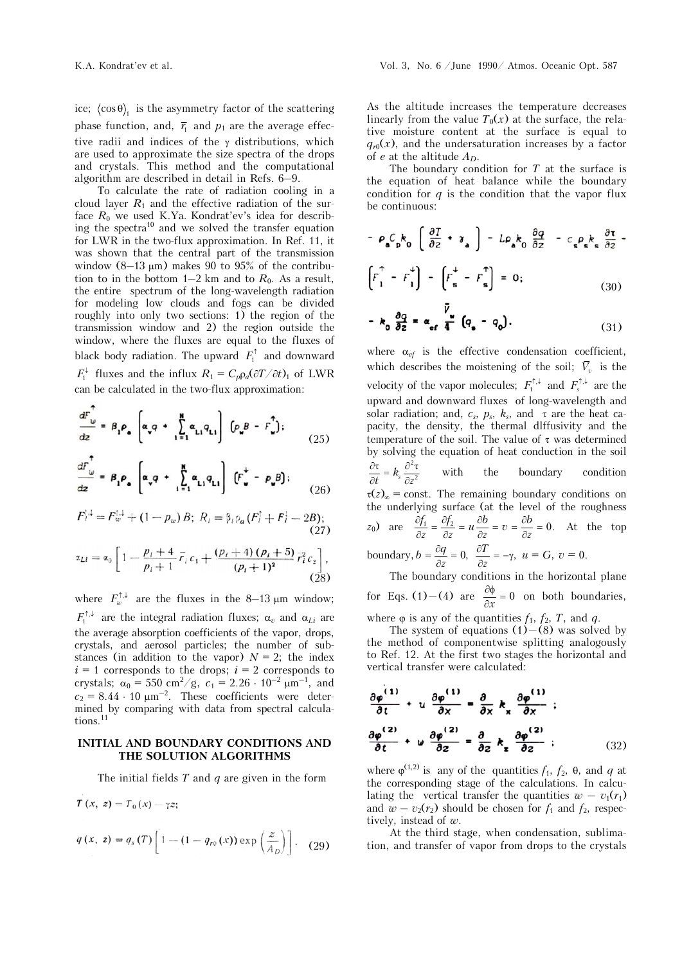ice;  $\langle \cos \theta \rangle$  is the asymmetry factor of the scattering phase function, and,  $\bar{r}_1$  and  $p_1$  are the average effective radii and indices of the  $\gamma$  distributions, which are used to approximate the size spectra of the drops and crystals. This method and the computational algorithm are described in detail in Refs. 6–9.

To calculate the rate of radiation cooling in a cloud layer  $R_1$  and the effective radiation of the surface  $R_0$  we used K.Ya. Kondrat'ev's idea for describing the spectra<sup>10</sup> and we solved the transfer equation for LWR in the two-flux approximation. In Ref. 11, it was shown that the central part of the transmission window  $(8-13 \mu m)$  makes 90 to 95% of the contribution to in the bottom  $1-2$  km and to  $R_0$ . As a result, the entire spectrum of the long-wavelength radiation for modeling low clouds and fogs can be divided roughly into only two sections: 1) the region of the transmission window and 2) the region outside the window, where the fluxes are equal to the fluxes of black body radiation. The upward  $F_1^{\uparrow}$  and downward  $F_1^{\downarrow}$  fluxes and the influx  $R_1 = C_p \rho_a (\partial T / \partial t)_1$  of LWR can be calculated in the two-flux approximation:

$$
\frac{dF_{\omega}}{dz} = \beta_1 \rho_a \left[ \alpha_v q + \sum_{i=1}^{N} \alpha_{Li} q_{Li} \right] \left[ \rho_u B - F_{\omega}^{\uparrow} \right];
$$
\n(25)

$$
\frac{dF_{\omega}}{dz} = \beta_1 \rho_a \left[ \alpha_v q + \sum_{i=1}^{N} \alpha_{Li} q_{Li} \right] \left( F_{\omega}^+ - p_{\omega} B \right); \tag{26}
$$

$$
F_l^{1,1} = F_w^{1,1} + (1 - p_w) B; \ R_l = \beta_l \rho_a (F_l^{\dagger} + F_l^{\dagger} - 2B); \tag{27}
$$

$$
\alpha_{Li} = \alpha_0 \left[ 1 - \frac{p_i + 4}{p_i + 1} \bar{r}_i c_1 + \frac{(p_i + 4) (p_i + 5)}{(p_i + 1)^2} \bar{r}_i^2 c_2 \right],
$$
\n(28)

where  $F_w^{\uparrow,\downarrow}$  are the fluxes in the 8–13  $\mu$ m window;  $F_1^{\uparrow,\downarrow}$  are the integral radiation fluxes;  $\alpha_v$  and  $\alpha_{Li}$  are the average absorption coefficients of the vapor, drops, crystals, and aerosol particles; the number of substances (in addition to the vapor)  $N = 2$ ; the index  $i = 1$  corresponds to the drops;  $i = 2$  corresponds to crystals;  $\alpha_0 = 550 \text{ cm}^2/\text{g}$ ,  $c_1 = 2.26 \cdot 10^{-2} \text{ }\mu\text{m}^{-1}$ , and  $c_2 = 8.44 \cdot 10 \text{ }\mu\text{m}^{-2}$ . These coefficients were determined by comparing with data from spectral calculations.<sup>11</sup>

### **INITIAL AND BOUNDARY CONDITIONS AND THE SOLUTION ALGORITHMS**

The initial fields *T* and *q* are given in the form

$$
T(x, z) = T_0(x) - \gamma z;
$$
  
\n
$$
q(x, z) = q_s(T) \left[ 1 - (1 - q_{r0}(x)) \exp\left(\frac{z}{A_D}\right) \right].
$$
 (29)

As the altitude increases the temperature decreases linearly from the value  $T_0(x)$  at the surface, the relative moisture content at the surface is equal to  $q_{r0}(x)$ , and the undersaturation increases by a factor of *e* at the altitude *AD*.

The boundary condition for *T* at the surface is the equation of heat balance while the boundary condition for  $q$  is the condition that the vapor flux be continuous:

$$
- \rho_{a} C_{p} k_{0} \left( \frac{\partial T}{\partial z} + \gamma_{a} \right) - L \rho_{a} k_{0} \frac{\partial q}{\partial z} - c_{s} \rho_{s} k_{s} \frac{\partial \tau}{\partial z} -
$$

$$
\left[ F_{1}^{\uparrow} - F_{1}^{\downarrow} \right] - \left[ F_{s}^{\downarrow} - F_{s}^{\uparrow} \right] = 0; \qquad (30)
$$

$$
-k_0 \frac{\partial q}{\partial z} = \alpha_{\text{ef}} \frac{\bar{V}_u}{4} (q_a - q_o). \tag{31}
$$

where  $\alpha_{ef}$  is the effective condensation coefficient, which describes the moistening of the soil;  $\bar{V}_n$  is the velocity of the vapor molecules;  $F_1^{\uparrow,\downarrow}$  and  $F_s^{\uparrow,\downarrow}$  are the upward and downward fluxes of long-wavelength and solar radiation; and,  $c_s$ ,  $p_s$ ,  $k_s$ , and  $\tau$  are the heat capacity, the density, the thermal dlffusivity and the temperature of the soil. The value of  $\tau$  was determined by solving the equation of heat conduction in the soil

 $\frac{\partial \tau}{\partial t} = k_s \frac{\partial^2 \tau}{\partial z^2}$  with the boundary condition  $\tau(z)_{\infty}$  = const. The remaining boundary conditions on the underlying surface (at the level of the roughness *z*<sub>0</sub>) are  $\frac{\partial f_1}{\partial z} = \frac{\partial f_2}{\partial z} = u \frac{\partial b}{\partial z} = v = \frac{\partial b}{\partial z} = 0$ . At the top boundary,  $b = \frac{\partial q}{\partial z} = 0$ ,  $\frac{\partial T}{\partial z} = -\gamma$ ,  $\frac{\partial T}{\partial z}$  = - $\gamma$ ,  $u = G$ ,  $v = 0$ .

The boundary conditions in the horizontal plane for Eqs. (1)–(4) are  $\frac{\partial \phi}{\partial x} = 0$  on both boundaries,

where  $\varphi$  is any of the quantities  $f_1$ ,  $f_2$ ,  $T$ , and  $q$ .

The system of equations  $(1)$  – (8) was solved by the method of componentwise splitting analogously to Ref. 12. At the first two stages the horizontal and vertical transfer were calculated:

$$
\frac{\partial \varphi^{(1)}}{\partial t} + u \frac{\partial \varphi^{(1)}}{\partial x} = \frac{\partial}{\partial x} k_x \frac{\partial \varphi^{(1)}}{\partial x} ;
$$

$$
\frac{\partial \varphi^{(2)}}{\partial t} + u \frac{\partial \varphi^{(2)}}{\partial z} = \frac{\partial}{\partial z} k_z \frac{\partial \varphi^{(2)}}{\partial z} ;
$$
(32)

where  $\varphi^{(1,2)}$  is any of the quantities  $f_1$ ,  $f_2$ ,  $\theta$ , and  $q$  at the corresponding stage of the calculations. In calculating the vertical transfer the quantities  $w - v_1(r_1)$ and  $w - v_2(r_2)$  should be chosen for  $f_1$  and  $f_2$ , respectively, instead of *w*.

At the third stage, when condensation, sublimation, and transfer of vapor from drops to the crystals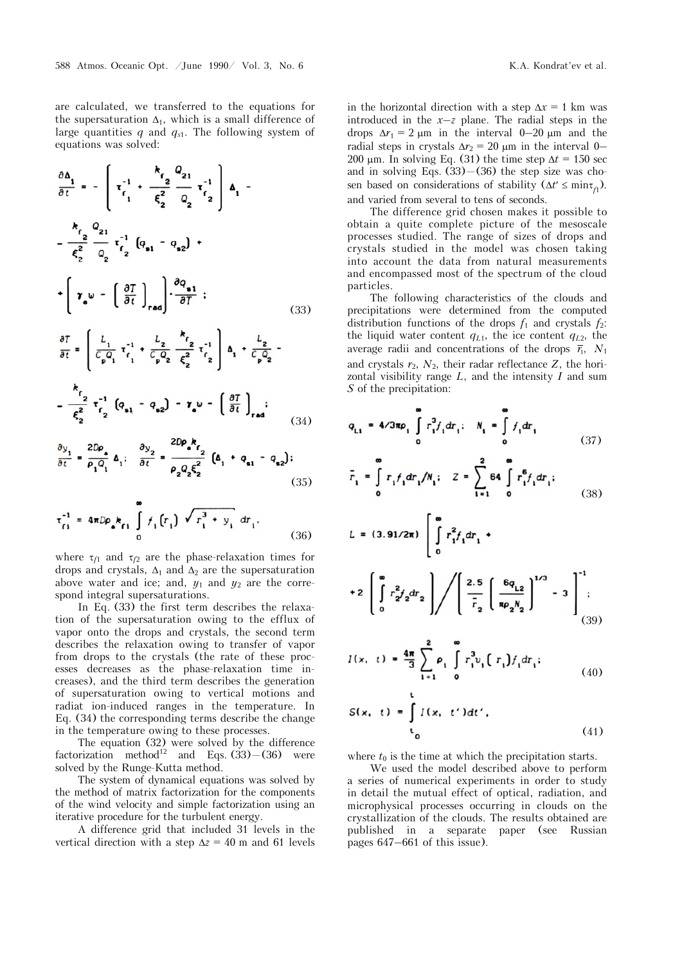are calculated, we transferred to the equations for the supersaturation  $\Delta_1$ , which is a small difference of large quantities *q* and *qs*1. The following system of equations was solved:

$$
\frac{\partial \Delta_1}{\partial t} = -\left[\tau_{f_1}^{-1} + \frac{k_{f_2}}{\xi_2^2} \frac{Q_{21}}{Q_{2}} \tau_{f_2}^{-1}\right] \Delta_1 - \frac{k_{f_2}}{\xi_2^2} \frac{Q_{21}}{Q_{2}} \tau_{f_2}^{-1} \left(Q_{\mathbf{s}1} - Q_{\mathbf{s}2}\right) + \left[\tau_{\mathbf{s}} \omega - \left(\frac{\partial T}{\partial t}\right)_{\mathbf{rad}}\right] \cdot \frac{\partial q_{\mathbf{s}1}}{\partial T} ;
$$
\n
$$
\frac{\partial T}{\partial t} = \left[\frac{l_1}{C_p Q_1} \tau_{f_1}^{-1} + \frac{l_2}{C_p Q_2} \frac{k_{f_2}}{\xi_2^2} \tau_{f_2}^{-1}\right] \Delta_1 + \frac{l_2}{C_p Q_2} - \frac{k_{f_2}}{\xi_2^2} \tau_{f_2}^{-1} \left(Q_{\mathbf{s}1} - Q_{\mathbf{s}2}\right) - \tau_{\mathbf{s}} \omega - \left(\frac{\partial T}{\partial t}\right)_{\mathbf{rad}} ;
$$
\n
$$
\frac{\partial y_1}{\partial t} = \frac{2D\rho_{\mathbf{s}}}{\rho_{1} Q_1} \Delta_1; \quad \frac{\partial y_2}{\partial t} = \frac{2D\rho_{\mathbf{s}} k_{f_2}}{\rho_{2} Q_2 \xi_2^2} \left(\Delta_1 + Q_{\mathbf{s}1} - Q_{\mathbf{s}2}\right) ;
$$
\n(33)

$$
\tau_{f1}^{-1} = 4\pi D \rho_{\bullet} k_{f1} \int_{0}^{\infty} f_{1}(r_{1}) \sqrt{r_{1}^{3} + y_{1}} dr_{1}.
$$
 (36)

where  $\tau_{f1}$  and  $\tau_{f2}$  are the phase-relaxation times for drops and crystals,  $\Delta_1$  and  $\Delta_2$  are the supersaturation above water and ice; and,  $y_1$  and  $y_2$  are the correspond integral supersaturations.

In Eq. (33) the first term describes the relaxation of the supersaturation owing to the efflux of vapor onto the drops and crystals, the second term describes the relaxation owing to transfer of vapor from drops to the crystals (the rate of these processes decreases as the phase-relaxation time increases), and the third term describes the generation of supersaturation owing to vertical motions and radiat ion-induced ranges in the temperature. In Eq. (34) the corresponding terms describe the change in the temperature owing to these processes.

The equation (32) were solved by the difference factorization method<sup>12</sup> and Eqs. (33)–(36) were solved by the Runge-Kutta method.

The system of dynamical equations was solved by the method of matrix factorization for the components of the wind velocity and simple factorization using an iterative procedure for the turbulent energy.

A difference grid that included 31 levels in the vertical direction with a step  $\Delta z = 40$  m and 61 levels

in the horizontal direction with a step  $\Delta x = 1$  km was introduced in the  $x-z$  plane. The radial steps in the drops  $\Delta r_1 = 2 \mu m$  in the interval 0–20  $\mu$ m and the radial steps in crystals  $\Delta r_2 = 20 \text{ }\mu\text{m}$  in the interval 0– 200  $\mu$ m. In solving Eq. (31) the time step  $\Delta t = 150$  sec and in solving Eqs.  $(33)$  –  $(36)$  the step size was chosen based on considerations of stability  $(\Delta t' \leq \min_{f_1})$ . and varied from several to tens of seconds.

The difference grid chosen makes it possible to obtain a quite complete picture of the mesoscale processes studied. The range of sizes of drops and crystals studied in the model was chosen taking into account the data from natural measurements and encompassed most of the spectrum of the cloud particles.

The following characteristics of the clouds and precipitations were determined from the computed distribution functions of the drops  $f_1$  and crystals  $f_2$ : the liquid water content  $q_{L1}$ , the ice content  $q_{L2}$ , the average radii and concentrations of the drops  $\bar{r}_1$ ,  $N_1$ and crystals  $r_2$ ,  $N_2$ , their radar reflectance  $Z$ , the horizontal visibility range *L*, and the intensity *I* and sum *S* of the precipitation:

$$
q_{L1} = 4/3\pi\rho_1 \int_0^{\infty} r_1^3 f_1 dr_1; \quad N_1 = \int_0^{\infty} f_1 dr_1
$$
\n
$$
q_2 = \infty
$$
\n(37)

$$
\bar{r}_1 = \int_{0}^{R} r_1 f_1 dr_1 / N_1; \quad Z = \sum_{i=1}^{R} 64 \int_{0}^{R} r_1^6 f_1 dr_1; \tag{38}
$$

$$
L = (3.91/2\pi) \left[ \int_{0}^{\infty} r_1^2 f_1 dr_1 + \right.
$$
  
+2  $\left[ \int_{0}^{\infty} r_2^2 f_2 dr_2 \right] / \left[ \frac{2.5}{\overline{r}_2} \left[ \frac{6q_{L2}}{\pi \rho_2 N_2} \right]^{1/3} - 3 \right]^{-1}$  (39)

$$
I(x, t) = \frac{4\pi}{3} \sum_{i=1}^{2} \rho_i \int_{0}^{\infty} r_i^3 v_i \left( r_i \right) f_1 dr_i; \tag{40}
$$

$$
S(x, t) = \int_{t_0}^{t} I(x, t') dt',
$$
\n(41)

where  $t_0$  is the time at which the precipitation starts.

We used the model described above to perform a series of numerical experiments in order to study in detail the mutual effect of optical, radiation, and microphysical processes occurring in clouds on the crystallization of the clouds. The results obtained are published in a separate paper (see Russian pages 647–661 of this issue).